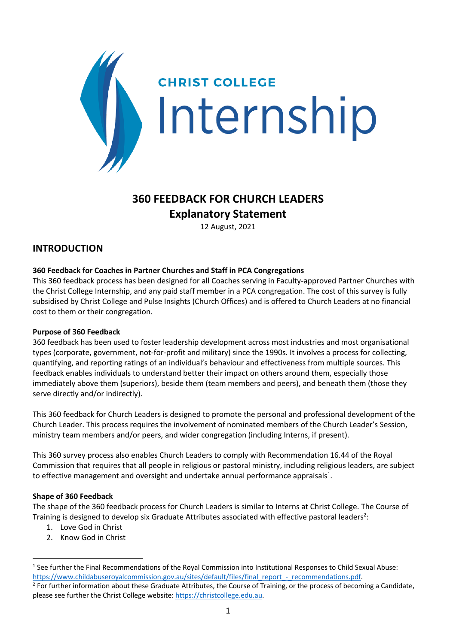

# **360 FEEDBACK FOR CHURCH LEADERS Explanatory Statement**

12 August, 2021

### **INTRODUCTION**

### **360 Feedback for Coaches in Partner Churches and Staff in PCA Congregations**

This 360 feedback process has been designed for all Coaches serving in Faculty-approved Partner Churches with the Christ College Internship, and any paid staff member in a PCA congregation. The cost of this survey is fully subsidised by Christ College and Pulse Insights (Church Offices) and is offered to Church Leaders at no financial cost to them or their congregation.

### **Purpose of 360 Feedback**

360 feedback has been used to foster leadership development across most industries and most organisational types (corporate, government, not-for-profit and military) since the 1990s. It involves a process for collecting, quantifying, and reporting ratings of an individual's behaviour and effectiveness from multiple sources. This feedback enables individuals to understand better their impact on others around them, especially those immediately above them (superiors), beside them (team members and peers), and beneath them (those they serve directly and/or indirectly).

This 360 feedback for Church Leaders is designed to promote the personal and professional development of the Church Leader. This process requires the involvement of nominated members of the Church Leader's Session, ministry team members and/or peers, and wider congregation (including Interns, if present).

This 360 survey process also enables Church Leaders to comply with Recommendation 16.44 of the Royal Commission that requires that all people in religious or pastoral ministry, including religious leaders, are subject to effective management and oversight and undertake annual performance appraisals<sup>1</sup>.

### **Shape of 360 Feedback**

The shape of the 360 feedback process for Church Leaders is similar to Interns at Christ College. The Course of Training is designed to develop six Graduate Attributes associated with effective pastoral leaders<sup>2</sup>:

- 1. Love God in Christ
- 2. Know God in Christ

 $1$  See further the Final Recommendations of the Royal Commission into Institutional Responses to Child Sexual Abuse: https://www.childabuseroyalcommission.gov.au/sites/default/files/final\_report\_-\_recommendations.pdf.  $2$  For further information about these Graduate Attributes, the Course of Training, or the process of becoming a Candidate, please see further the Christ College website: https://christcollege.edu.au.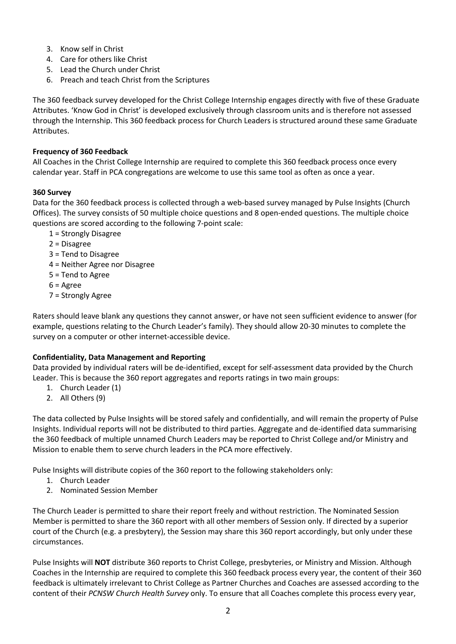- 3. Know self in Christ
- 4. Care for others like Christ
- 5. Lead the Church under Christ
- 6. Preach and teach Christ from the Scriptures

The 360 feedback survey developed for the Christ College Internship engages directly with five of these Graduate Attributes. 'Know God in Christ' is developed exclusively through classroom units and is therefore not assessed through the Internship. This 360 feedback process for Church Leaders is structured around these same Graduate Attributes.

#### **Frequency of 360 Feedback**

All Coaches in the Christ College Internship are required to complete this 360 feedback process once every calendar year. Staff in PCA congregations are welcome to use this same tool as often as once a year.

#### **360 Survey**

Data for the 360 feedback process is collected through a web-based survey managed by Pulse Insights (Church Offices). The survey consists of 50 multiple choice questions and 8 open-ended questions. The multiple choice questions are scored according to the following 7-point scale:

- 1 = Strongly Disagree
- 2 = Disagree
- 3 = Tend to Disagree
- 4 = Neither Agree nor Disagree
- 5 = Tend to Agree
- $6 = \text{Agree}$
- 7 = Strongly Agree

Raters should leave blank any questions they cannot answer, or have not seen sufficient evidence to answer (for example, questions relating to the Church Leader's family). They should allow 20-30 minutes to complete the survey on a computer or other internet-accessible device.

### **Confidentiality, Data Management and Reporting**

Data provided by individual raters will be de-identified, except for self-assessment data provided by the Church Leader. This is because the 360 report aggregates and reports ratings in two main groups:

- 1. Church Leader (1)
- 2. All Others (9)

The data collected by Pulse Insights will be stored safely and confidentially, and will remain the property of Pulse Insights. Individual reports will not be distributed to third parties. Aggregate and de-identified data summarising the 360 feedback of multiple unnamed Church Leaders may be reported to Christ College and/or Ministry and Mission to enable them to serve church leaders in the PCA more effectively.

Pulse Insights will distribute copies of the 360 report to the following stakeholders only:

- 1. Church Leader
- 2. Nominated Session Member

The Church Leader is permitted to share their report freely and without restriction. The Nominated Session Member is permitted to share the 360 report with all other members of Session only. If directed by a superior court of the Church (e.g. a presbytery), the Session may share this 360 report accordingly, but only under these circumstances.

Pulse Insights will **NOT** distribute 360 reports to Christ College, presbyteries, or Ministry and Mission. Although Coaches in the Internship are required to complete this 360 feedback process every year, the content of their 360 feedback is ultimately irrelevant to Christ College as Partner Churches and Coaches are assessed according to the content of their *PCNSW Church Health Survey* only. To ensure that all Coaches complete this process every year,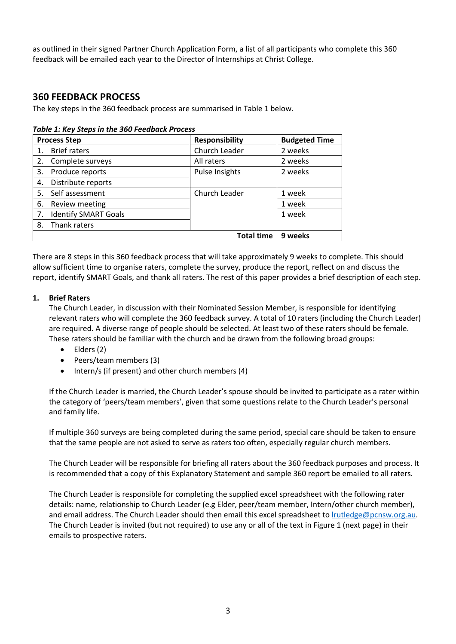as outlined in their signed Partner Church Application Form, a list of all participants who complete this 360 feedback will be emailed each year to the Director of Internships at Christ College.

# **360 FEEDBACK PROCESS**

The key steps in the 360 feedback process are summarised in Table 1 below.

|  |  |  | Table 1: Key Steps in the 360 Feedback Process |  |
|--|--|--|------------------------------------------------|--|
|  |  |  |                                                |  |

| <b>Process Step</b> |                             | <b>Responsibility</b> | <b>Budgeted Time</b> |
|---------------------|-----------------------------|-----------------------|----------------------|
| 1.                  | <b>Brief raters</b>         | Church Leader         | 2 weeks              |
| 2.                  | Complete surveys            | All raters            | 2 weeks              |
| 3.                  | Produce reports             | Pulse Insights        | 2 weeks              |
| 4.                  | Distribute reports          |                       |                      |
| 5.                  | Self assessment             | Church Leader         | 1 week               |
| 6.                  | Review meeting              |                       | 1 week               |
| 7.                  | <b>Identify SMART Goals</b> |                       | 1 week               |
| 8.                  | Thank raters                |                       |                      |
|                     |                             | <b>Total time</b>     | 9 weeks              |

There are 8 steps in this 360 feedback process that will take approximately 9 weeks to complete. This should allow sufficient time to organise raters, complete the survey, produce the report, reflect on and discuss the report, identify SMART Goals, and thank all raters. The rest of this paper provides a brief description of each step.

### **1. Brief Raters**

The Church Leader, in discussion with their Nominated Session Member, is responsible for identifying relevant raters who will complete the 360 feedback survey. A total of 10 raters (including the Church Leader) are required. A diverse range of people should be selected. At least two of these raters should be female. These raters should be familiar with the church and be drawn from the following broad groups:

- Elders (2)
- Peers/team members (3)
- Intern/s (if present) and other church members (4)

If the Church Leader is married, the Church Leader's spouse should be invited to participate as a rater within the category of 'peers/team members', given that some questions relate to the Church Leader's personal and family life.

If multiple 360 surveys are being completed during the same period, special care should be taken to ensure that the same people are not asked to serve as raters too often, especially regular church members.

The Church Leader will be responsible for briefing all raters about the 360 feedback purposes and process. It is recommended that a copy of this Explanatory Statement and sample 360 report be emailed to all raters.

The Church Leader is responsible for completing the supplied excel spreadsheet with the following rater details: name, relationship to Church Leader (e.g Elder, peer/team member, Intern/other church member), and email address. The Church Leader should then email this excel spreadsheet to lrutledge@pcnsw.org.au. The Church Leader is invited (but not required) to use any or all of the text in Figure 1 (next page) in their emails to prospective raters.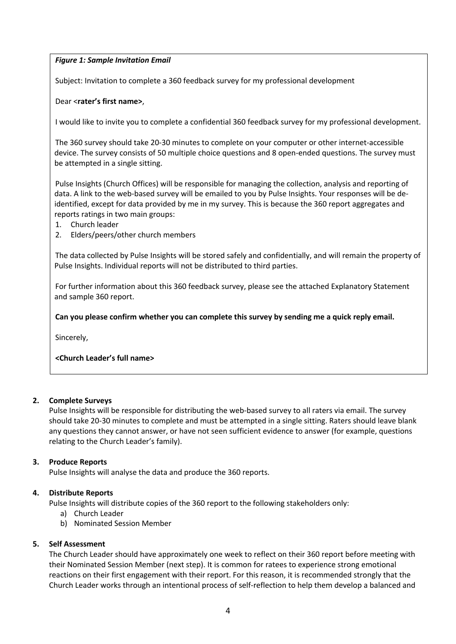### *Figure 1: Sample Invitation Email*

Subject: Invitation to complete a 360 feedback survey for my professional development

Dear <**rater's first name>**,

I would like to invite you to complete a confidential 360 feedback survey for my professional development.

The 360 survey should take 20-30 minutes to complete on your computer or other internet-accessible device. The survey consists of 50 multiple choice questions and 8 open-ended questions. The survey must be attempted in a single sitting.

Pulse Insights (Church Offices) will be responsible for managing the collection, analysis and reporting of data. A link to the web-based survey will be emailed to you by Pulse Insights. Your responses will be deidentified, except for data provided by me in my survey. This is because the 360 report aggregates and reports ratings in two main groups:

- 1. Church leader
- 2. Elders/peers/other church members

The data collected by Pulse Insights will be stored safely and confidentially, and will remain the property of Pulse Insights. Individual reports will not be distributed to third parties.

For further information about this 360 feedback survey, please see the attached Explanatory Statement and sample 360 report.

**Can you please confirm whether you can complete this survey by sending me a quick reply email.**

Sincerely,

**<Church Leader's full name>**

### **2. Complete Surveys**

Pulse Insights will be responsible for distributing the web-based survey to all raters via email. The survey should take 20-30 minutes to complete and must be attempted in a single sitting. Raters should leave blank any questions they cannot answer, or have not seen sufficient evidence to answer (for example, questions relating to the Church Leader's family).

### **3. Produce Reports**

Pulse Insights will analyse the data and produce the 360 reports.

### **4. Distribute Reports**

Pulse Insights will distribute copies of the 360 report to the following stakeholders only:

- a) Church Leader
- b) Nominated Session Member

### **5. Self Assessment**

The Church Leader should have approximately one week to reflect on their 360 report before meeting with their Nominated Session Member (next step). It is common for ratees to experience strong emotional reactions on their first engagement with their report. For this reason, it is recommended strongly that the Church Leader works through an intentional process of self-reflection to help them develop a balanced and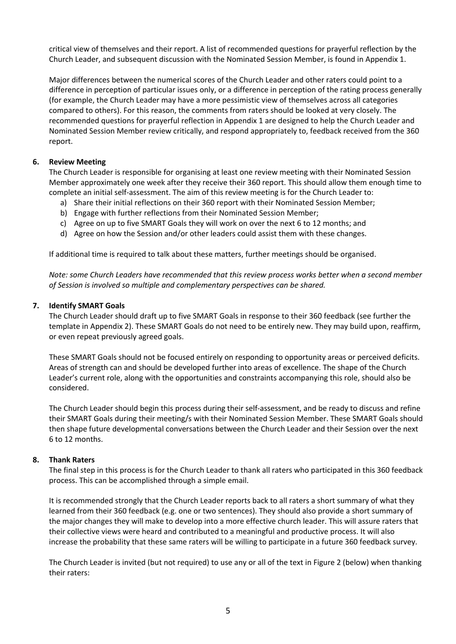critical view of themselves and their report. A list of recommended questions for prayerful reflection by the Church Leader, and subsequent discussion with the Nominated Session Member, is found in Appendix 1.

Major differences between the numerical scores of the Church Leader and other raters could point to a difference in perception of particular issues only, or a difference in perception of the rating process generally (for example, the Church Leader may have a more pessimistic view of themselves across all categories compared to others). For this reason, the comments from raters should be looked at very closely. The recommended questions for prayerful reflection in Appendix 1 are designed to help the Church Leader and Nominated Session Member review critically, and respond appropriately to, feedback received from the 360 report.

### **6. Review Meeting**

The Church Leader is responsible for organising at least one review meeting with their Nominated Session Member approximately one week after they receive their 360 report. This should allow them enough time to complete an initial self-assessment. The aim of this review meeting is for the Church Leader to:

- a) Share their initial reflections on their 360 report with their Nominated Session Member;
- b) Engage with further reflections from their Nominated Session Member;
- c) Agree on up to five SMART Goals they will work on over the next 6 to 12 months; and
- d) Agree on how the Session and/or other leaders could assist them with these changes.

If additional time is required to talk about these matters, further meetings should be organised.

*Note: some Church Leaders have recommended that this review process works better when a second member of Session is involved so multiple and complementary perspectives can be shared.* 

### **7. Identify SMART Goals**

The Church Leader should draft up to five SMART Goals in response to their 360 feedback (see further the template in Appendix 2). These SMART Goals do not need to be entirely new. They may build upon, reaffirm, or even repeat previously agreed goals.

These SMART Goals should not be focused entirely on responding to opportunity areas or perceived deficits. Areas of strength can and should be developed further into areas of excellence. The shape of the Church Leader's current role, along with the opportunities and constraints accompanying this role, should also be considered.

The Church Leader should begin this process during their self-assessment, and be ready to discuss and refine their SMART Goals during their meeting/s with their Nominated Session Member. These SMART Goals should then shape future developmental conversations between the Church Leader and their Session over the next 6 to 12 months.

### **8. Thank Raters**

The final step in this process is for the Church Leader to thank all raters who participated in this 360 feedback process. This can be accomplished through a simple email.

It is recommended strongly that the Church Leader reports back to all raters a short summary of what they learned from their 360 feedback (e.g. one or two sentences). They should also provide a short summary of the major changes they will make to develop into a more effective church leader. This will assure raters that their collective views were heard and contributed to a meaningful and productive process. It will also increase the probability that these same raters will be willing to participate in a future 360 feedback survey.

The Church Leader is invited (but not required) to use any or all of the text in Figure 2 (below) when thanking their raters: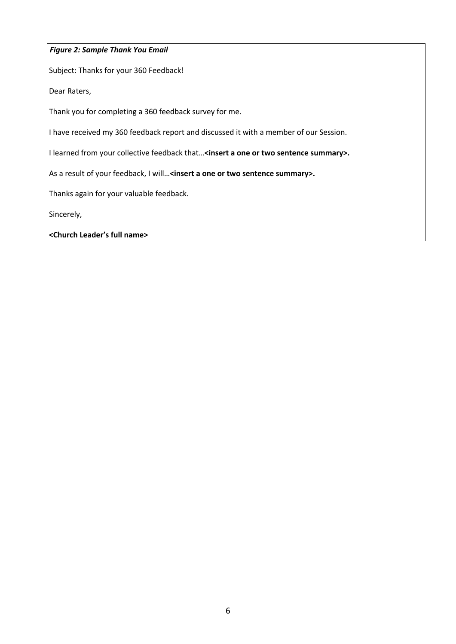### *Figure 2: Sample Thank You Email*

Subject: Thanks for your 360 Feedback!

Dear Raters,

Thank you for completing a 360 feedback survey for me.

I have received my 360 feedback report and discussed it with a member of our Session.

I learned from your collective feedback that…**<insert a one or two sentence summary>.**

As a result of your feedback, I will…**<insert a one or two sentence summary>.**

Thanks again for your valuable feedback.

Sincerely,

**<Church Leader's full name>**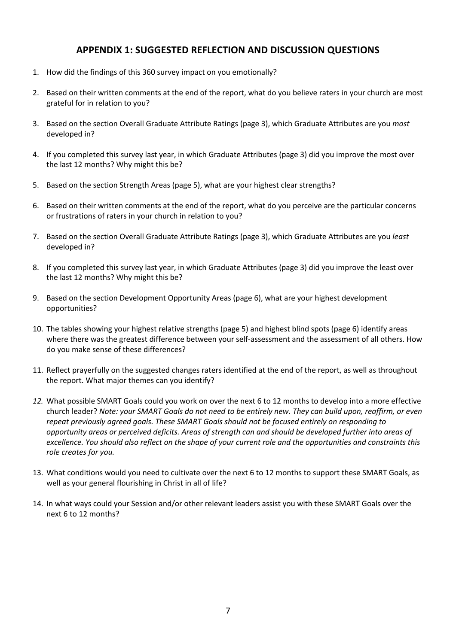# **APPENDIX 1: SUGGESTED REFLECTION AND DISCUSSION QUESTIONS**

- 1. How did the findings of this 360 survey impact on you emotionally?
- 2. Based on their written comments at the end of the report, what do you believe raters in your church are most grateful for in relation to you?
- 3. Based on the section Overall Graduate Attribute Ratings (page 3), which Graduate Attributes are you *most* developed in?
- 4. If you completed this survey last year, in which Graduate Attributes (page 3) did you improve the most over the last 12 months? Why might this be?
- 5. Based on the section Strength Areas (page 5), what are your highest clear strengths?
- 6. Based on their written comments at the end of the report, what do you perceive are the particular concerns or frustrations of raters in your church in relation to you?
- 7. Based on the section Overall Graduate Attribute Ratings (page 3), which Graduate Attributes are you *least* developed in?
- 8. If you completed this survey last year, in which Graduate Attributes (page 3) did you improve the least over the last 12 months? Why might this be?
- 9. Based on the section Development Opportunity Areas (page 6), what are your highest development opportunities?
- 10. The tables showing your highest relative strengths (page 5) and highest blind spots (page 6) identify areas where there was the greatest difference between your self-assessment and the assessment of all others. How do you make sense of these differences?
- 11. Reflect prayerfully on the suggested changes raters identified at the end of the report, as well as throughout the report. What major themes can you identify?
- *12.* What possible SMART Goals could you work on over the next 6 to 12 months to develop into a more effective church leader? *Note: your SMART Goals do not need to be entirely new. They can build upon, reaffirm, or even repeat previously agreed goals. These SMART Goals should not be focused entirely on responding to opportunity areas or perceived deficits. Areas of strength can and should be developed further into areas of excellence. You should also reflect on the shape of your current role and the opportunities and constraints this role creates for you.*
- 13. What conditions would you need to cultivate over the next 6 to 12 months to support these SMART Goals, as well as your general flourishing in Christ in all of life?
- 14. In what ways could your Session and/or other relevant leaders assist you with these SMART Goals over the next 6 to 12 months?